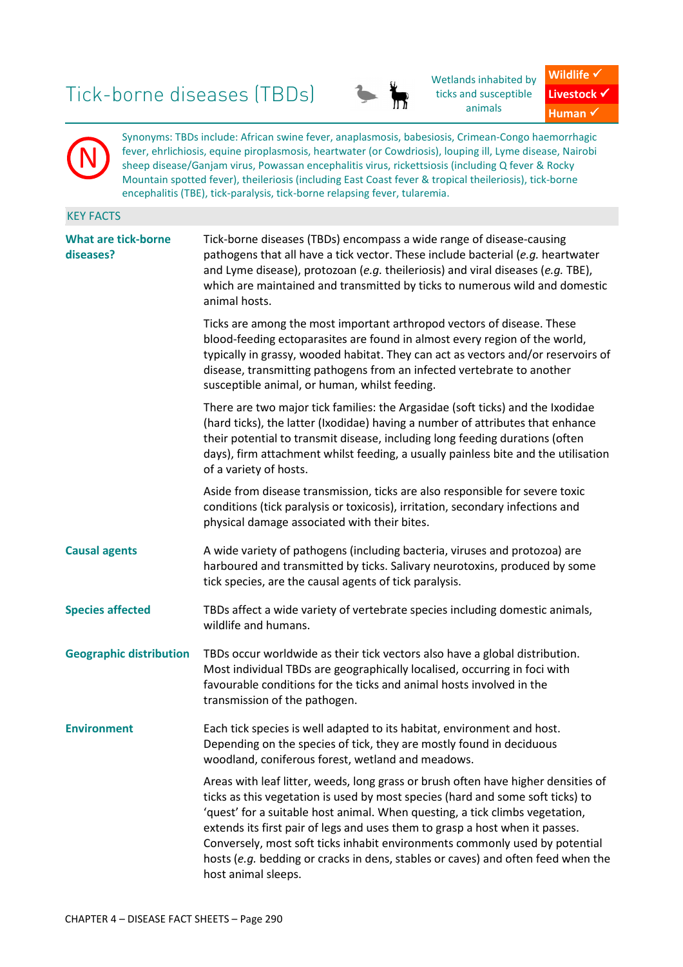# Tick-borne diseases (TBDs)

N



Wetlands inhabited by ticks and susceptible animals



Synonyms: TBDs include: African swine fever, anaplasmosis, babesiosis, Crimean-Congo haemorrhagic fever, ehrlichiosis, equine piroplasmosis, heartwater (or Cowdriosis), louping ill, Lyme disease, Nairobi sheep disease/Ganjam virus, Powassan encephalitis virus, rickettsiosis (including Q fever & Rocky Mountain spotted fever), theileriosis (including East Coast fever & tropical theileriosis), tick-borne encephalitis (TBE), tick-paralysis, tick-borne relapsing fever, tularemia.

# KEY FACTS **What are tick-borne diseases?** Tick-borne diseases (TBDs) encompass a wide range of disease-causing pathogens that all have a tick vector. These include bacterial (*e.g.* heartwater and Lyme disease), protozoan (*e.g.* theileriosis) and viral diseases (*e.g.* TBE), which are maintained and transmitted by ticks to numerous wild and domestic animal hosts. Ticks are among the most important arthropod vectors of disease. These blood-feeding ectoparasites are found in almost every region of the world, typically in grassy, wooded habitat. They can act as vectors and/or reservoirs of disease, transmitting pathogens from an infected vertebrate to another susceptible animal, or human, whilst feeding. There are two major tick families: the Argasidae (soft ticks) and the Ixodidae (hard ticks), the latter (Ixodidae) having a number of attributes that enhance their potential to transmit disease, including long feeding durations (often days), firm attachment whilst feeding, a usually painless bite and the utilisation of a variety of hosts. Aside from disease transmission, ticks are also responsible for severe toxic conditions (tick paralysis or toxicosis), irritation, secondary infections and physical damage associated with their bites. Causal agents **A** wide variety of pathogens (including bacteria, viruses and protozoa) are harboured and transmitted by ticks. Salivary neurotoxins, produced by some tick species, are the causal agents of tick paralysis. **Species affected** TBDs affect a wide variety of vertebrate species including domestic animals, wildlife and humans. **Geographic distribution** TBDs occur worldwide as their tick vectors also have a global distribution. Most individual TBDs are geographically localised, occurring in foci with favourable conditions for the ticks and animal hosts involved in the transmission of the pathogen. **Environment** Each tick species is well adapted to its habitat, environment and host. Depending on the species of tick, they are mostly found in deciduous woodland, coniferous forest, wetland and meadows. Areas with leaf litter, weeds, long grass or brush often have higher densities of ticks as this vegetation is used by most species (hard and some soft ticks) to 'quest' for a suitable host animal. When questing, a tick climbs vegetation, extends its first pair of legs and uses them to grasp a host when it passes. Conversely, most soft ticks inhabit environments commonly used by potential hosts (*e.g.* bedding or cracks in dens, stables or caves) and often feed when the host animal sleeps.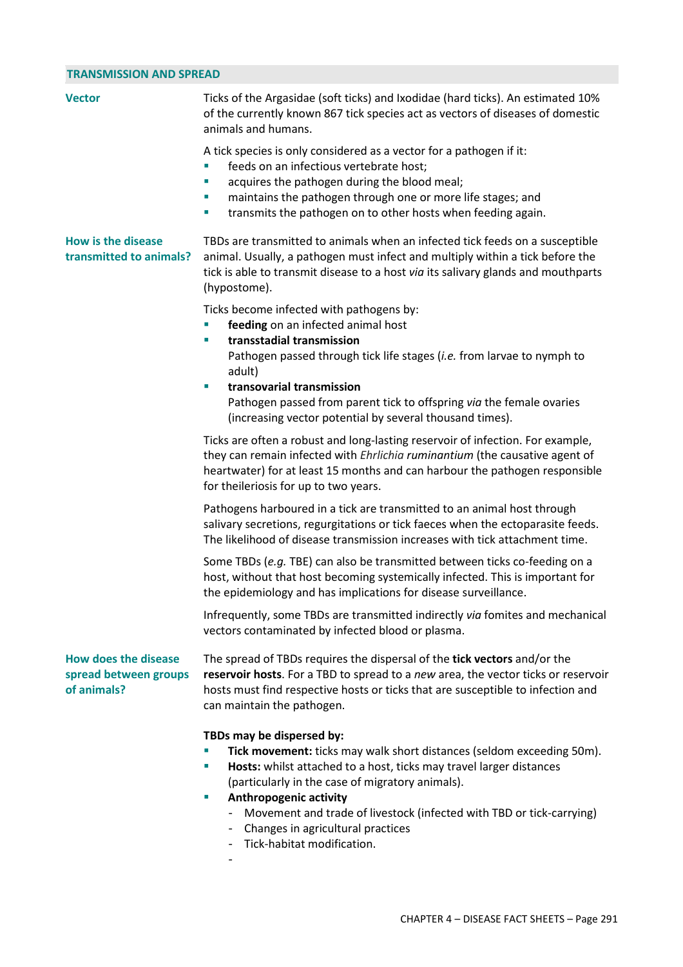#### **TRANSMISSION AND SPREAD**

| <b>TRANSMISSION AND SPREAD</b>                                      |                                                                                                                                                                                                                                                                                                                     |  |
|---------------------------------------------------------------------|---------------------------------------------------------------------------------------------------------------------------------------------------------------------------------------------------------------------------------------------------------------------------------------------------------------------|--|
| <b>Vector</b>                                                       | Ticks of the Argasidae (soft ticks) and Ixodidae (hard ticks). An estimated 10%<br>of the currently known 867 tick species act as vectors of diseases of domestic<br>animals and humans.                                                                                                                            |  |
|                                                                     | A tick species is only considered as a vector for a pathogen if it:<br>feeds on an infectious vertebrate host;<br>ш<br>acquires the pathogen during the blood meal;<br>T,<br>maintains the pathogen through one or more life stages; and<br>ш<br>transmits the pathogen on to other hosts when feeding again.<br>×. |  |
| <b>How is the disease</b><br>transmitted to animals?                | TBDs are transmitted to animals when an infected tick feeds on a susceptible<br>animal. Usually, a pathogen must infect and multiply within a tick before the<br>tick is able to transmit disease to a host via its salivary glands and mouthparts<br>(hypostome).                                                  |  |
|                                                                     | Ticks become infected with pathogens by:<br>feeding on an infected animal host<br>ш                                                                                                                                                                                                                                 |  |
|                                                                     | transstadial transmission<br>×.<br>Pathogen passed through tick life stages (i.e. from larvae to nymph to<br>adult)                                                                                                                                                                                                 |  |
|                                                                     | transovarial transmission<br>ш<br>Pathogen passed from parent tick to offspring via the female ovaries<br>(increasing vector potential by several thousand times).                                                                                                                                                  |  |
|                                                                     | Ticks are often a robust and long-lasting reservoir of infection. For example,<br>they can remain infected with <i>Ehrlichia ruminantium</i> (the causative agent of<br>heartwater) for at least 15 months and can harbour the pathogen responsible<br>for theileriosis for up to two years.                        |  |
|                                                                     | Pathogens harboured in a tick are transmitted to an animal host through<br>salivary secretions, regurgitations or tick faeces when the ectoparasite feeds.<br>The likelihood of disease transmission increases with tick attachment time.                                                                           |  |
|                                                                     | Some TBDs (e.g. TBE) can also be transmitted between ticks co-feeding on a<br>host, without that host becoming systemically infected. This is important for<br>the epidemiology and has implications for disease surveillance.                                                                                      |  |
|                                                                     | Infrequently, some TBDs are transmitted indirectly via fomites and mechanical<br>vectors contaminated by infected blood or plasma.                                                                                                                                                                                  |  |
| <b>How does the disease</b><br>spread between groups<br>of animals? | The spread of TBDs requires the dispersal of the tick vectors and/or the<br>reservoir hosts. For a TBD to spread to a new area, the vector ticks or reservoir<br>hosts must find respective hosts or ticks that are susceptible to infection and<br>can maintain the pathogen.                                      |  |
|                                                                     | TBDs may be dispersed by:<br>Tick movement: ticks may walk short distances (seldom exceeding 50m).<br>Hosts: whilst attached to a host, ticks may travel larger distances<br>ш<br>(particularly in the case of migratory animals).<br><b>Anthropogenic activity</b><br>ш                                            |  |
|                                                                     | Movement and trade of livestock (infected with TBD or tick-carrying)<br>Changes in agricultural practices                                                                                                                                                                                                           |  |

- Tick-habitat modification.
- -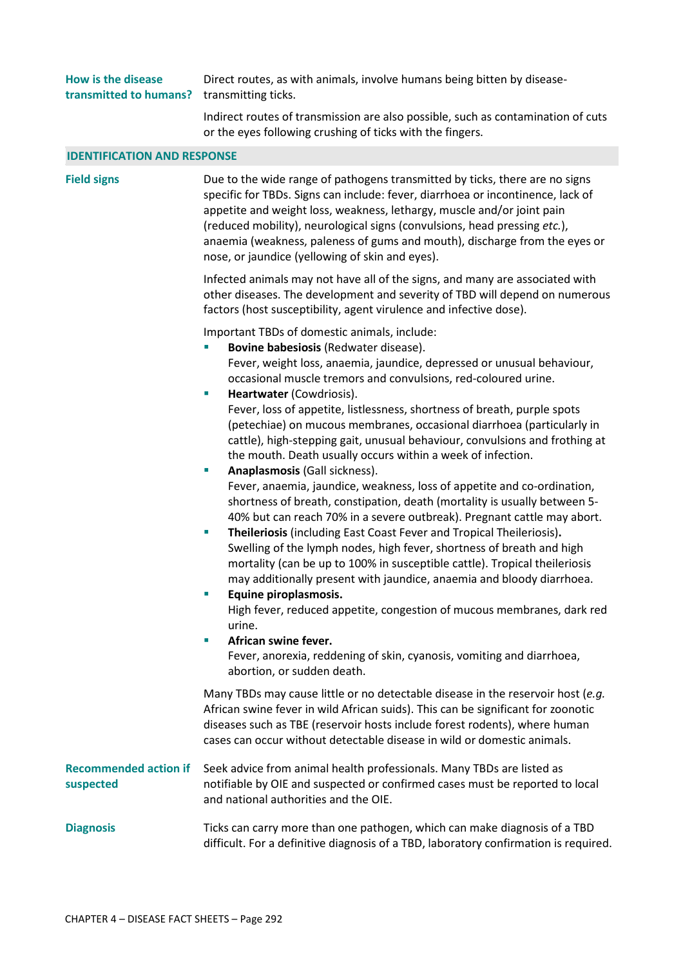| How is the disease                                | Direct routes, as with animals, involve humans being bitten by disease- |
|---------------------------------------------------|-------------------------------------------------------------------------|
| <b>transmitted to humans?</b> transmitting ticks. |                                                                         |

Indirect routes of transmission are also possible, such as contamination of cuts or the eyes following crushing of ticks with the fingers.

#### **IDENTIFICATION AND RESPONSE**

**Field signs Example 2** Due to the wide range of pathogens transmitted by ticks, there are no signs specific for TBDs. Signs can include: fever, diarrhoea or incontinence, lack of appetite and weight loss, weakness, lethargy, muscle and/or joint pain (reduced mobility), neurological signs (convulsions, head pressing *etc.*), anaemia (weakness, paleness of gums and mouth), discharge from the eyes or nose, or jaundice (yellowing of skin and eyes).

> Infected animals may not have all of the signs, and many are associated with other diseases. The development and severity of TBD will depend on numerous factors (host susceptibility, agent virulence and infective dose).

Important TBDs of domestic animals, include:

- **Bovine babesiosis** (Redwater disease). Fever, weight loss, anaemia, jaundice, depressed or unusual behaviour, occasional muscle tremors and convulsions, red-coloured urine.
	- **Heartwater** (Cowdriosis). Fever, loss of appetite, listlessness, shortness of breath, purple spots (petechiae) on mucous membranes, occasional diarrhoea (particularly in cattle), high-stepping gait, unusual behaviour, convulsions and frothing at the mouth. Death usually occurs within a week of infection.
- **Anaplasmosis** (Gall sickness). Fever, anaemia, jaundice, weakness, loss of appetite and co-ordination, shortness of breath, constipation, death (mortality is usually between 5- 40% but can reach 70% in a severe outbreak). Pregnant cattle may abort.
- **Theileriosis** (including East Coast Fever and Tropical Theileriosis)**.**  Swelling of the lymph nodes, high fever, shortness of breath and high mortality (can be up to 100% in susceptible cattle). Tropical theileriosis may additionally present with jaundice, anaemia and bloody diarrhoea.
- **Equine piroplasmosis.**  High fever, reduced appetite, congestion of mucous membranes, dark red urine.
- **African swine fever.**

Fever, anorexia, reddening of skin, cyanosis, vomiting and diarrhoea, abortion, or sudden death.

Many TBDs may cause little or no detectable disease in the reservoir host (*e.g.* African swine fever in wild African suids). This can be significant for zoonotic diseases such as TBE (reservoir hosts include forest rodents), where human cases can occur without detectable disease in wild or domestic animals.

#### **Recommended action if suspected**  Seek advice from animal health professionals. Many TBDs are listed as notifiable by OIE and suspected or confirmed cases must be reported to local and national authorities and the OIE.

# **Diagnosis** Ticks can carry more than one pathogen, which can make diagnosis of a TBD difficult. For a definitive diagnosis of a TBD, laboratory confirmation is required.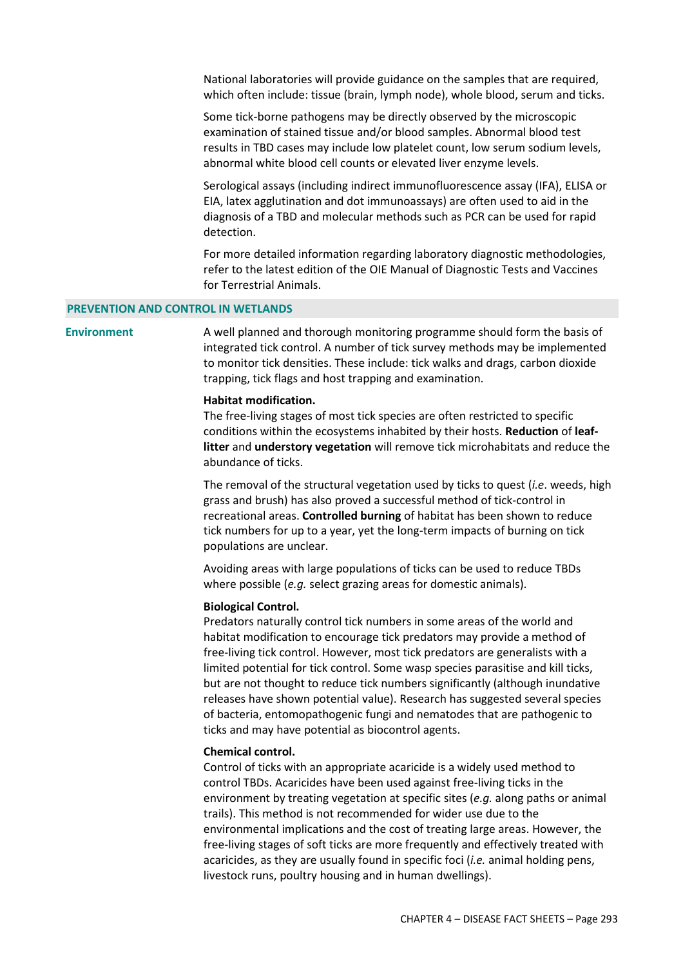National laboratories will provide guidance on the samples that are required, which often include: tissue (brain, lymph node), whole blood, serum and ticks.

Some tick-borne pathogens may be directly observed by the microscopic examination of stained tissue and/or blood samples. Abnormal blood test results in TBD cases may include low platelet count, low serum sodium levels, abnormal white blood cell counts or elevated liver enzyme levels.

Serological assays (including indirect immunofluorescence assay (IFA), ELISA or EIA, latex agglutination and dot immunoassays) are often used to aid in the diagnosis of a TBD and molecular methods such as PCR can be used for rapid detection.

For more detailed information regarding laboratory diagnostic methodologies, refer to the latest edition of the OIE Manual of Diagnostic Tests and Vaccines for Terrestrial Animals.

#### **PREVENTION AND CONTROL IN WETLANDS**

**Environment** A well planned and thorough monitoring programme should form the basis of integrated tick control. A number of tick survey methods may be implemented to monitor tick densities. These include: tick walks and drags, carbon dioxide trapping, tick flags and host trapping and examination.

#### **Habitat modification.**

The free-living stages of most tick species are often restricted to specific conditions within the ecosystems inhabited by their hosts. **Reduction** of **leaflitter** and **understory vegetation** will remove tick microhabitats and reduce the abundance of ticks.

The removal of the structural vegetation used by ticks to quest (*i.e*. weeds, high grass and brush) has also proved a successful method of tick-control in recreational areas. **Controlled burning** of habitat has been shown to reduce tick numbers for up to a year, yet the long-term impacts of burning on tick populations are unclear.

Avoiding areas with large populations of ticks can be used to reduce TBDs where possible (*e.g.* select grazing areas for domestic animals).

#### **Biological Control.**

Predators naturally control tick numbers in some areas of the world and habitat modification to encourage tick predators may provide a method of free-living tick control. However, most tick predators are generalists with a limited potential for tick control. Some wasp species parasitise and kill ticks, but are not thought to reduce tick numbers significantly (although inundative releases have shown potential value). Research has suggested several species of bacteria, entomopathogenic fungi and nematodes that are pathogenic to ticks and may have potential as biocontrol agents.

#### **Chemical control.**

Control of ticks with an appropriate acaricide is a widely used method to control TBDs. Acaricides have been used against free-living ticks in the environment by treating vegetation at specific sites (*e.g.* along paths or animal trails). This method is not recommended for wider use due to the environmental implications and the cost of treating large areas. However, the free-living stages of soft ticks are more frequently and effectively treated with acaricides, as they are usually found in specific foci (*i.e.* animal holding pens, livestock runs, poultry housing and in human dwellings).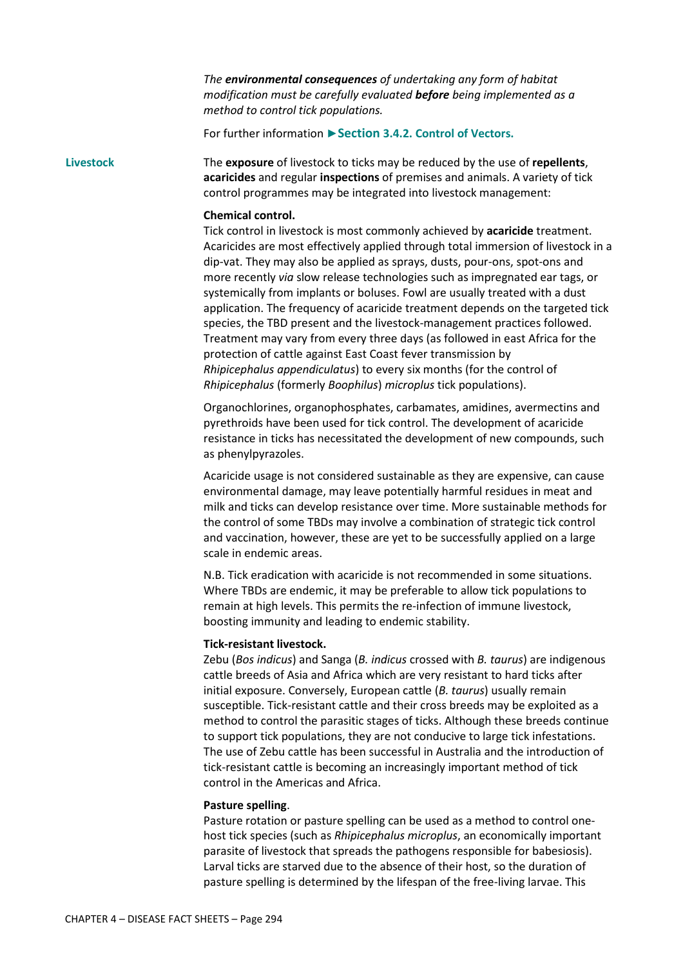*The environmental consequences of undertaking any form of habitat modification must be carefully evaluated before being implemented as a method to control tick populations.* 

For further information **►Section 3.4.2. Control of Vectors.**

**Livestock** The **exposure** of livestock to ticks may be reduced by the use of **repellents**, **acaricides** and regular **inspections** of premises and animals. A variety of tick control programmes may be integrated into livestock management:

#### **Chemical control.**

Tick control in livestock is most commonly achieved by **acaricide** treatment. Acaricides are most effectively applied through total immersion of livestock in a dip-vat. They may also be applied as sprays, dusts, pour-ons, spot-ons and more recently *via* slow release technologies such as impregnated ear tags, or systemically from implants or boluses. Fowl are usually treated with a dust application. The frequency of acaricide treatment depends on the targeted tick species, the TBD present and the livestock-management practices followed. Treatment may vary from every three days (as followed in east Africa for the protection of cattle against East Coast fever transmission by *Rhipicephalus appendiculatus*) to every six months (for the control of *Rhipicephalus* (formerly *Boophilus*) *microplus* tick populations).

Organochlorines, organophosphates, carbamates, amidines, avermectins and pyrethroids have been used for tick control. The development of acaricide resistance in ticks has necessitated the development of new compounds, such as phenylpyrazoles.

Acaricide usage is not considered sustainable as they are expensive, can cause environmental damage, may leave potentially harmful residues in meat and milk and ticks can develop resistance over time. More sustainable methods for the control of some TBDs may involve a combination of strategic tick control and vaccination, however, these are yet to be successfully applied on a large scale in endemic areas.

N.B. Tick eradication with acaricide is not recommended in some situations. Where TBDs are endemic, it may be preferable to allow tick populations to remain at high levels. This permits the re-infection of immune livestock, boosting immunity and leading to endemic stability.

#### **Tick-resistant livestock.**

Zebu (*Bos indicus*) and Sanga (*B. indicus* crossed with *B. taurus*) are indigenous cattle breeds of Asia and Africa which are very resistant to hard ticks after initial exposure. Conversely, European cattle (*B. taurus*) usually remain susceptible. Tick-resistant cattle and their cross breeds may be exploited as a method to control the parasitic stages of ticks. Although these breeds continue to support tick populations, they are not conducive to large tick infestations. The use of Zebu cattle has been successful in Australia and the introduction of tick-resistant cattle is becoming an increasingly important method of tick control in the Americas and Africa.

#### **Pasture spelling**.

Pasture rotation or pasture spelling can be used as a method to control onehost tick species (such as *Rhipicephalus microplus*, an economically important parasite of livestock that spreads the pathogens responsible for babesiosis). Larval ticks are starved due to the absence of their host, so the duration of pasture spelling is determined by the lifespan of the free-living larvae. This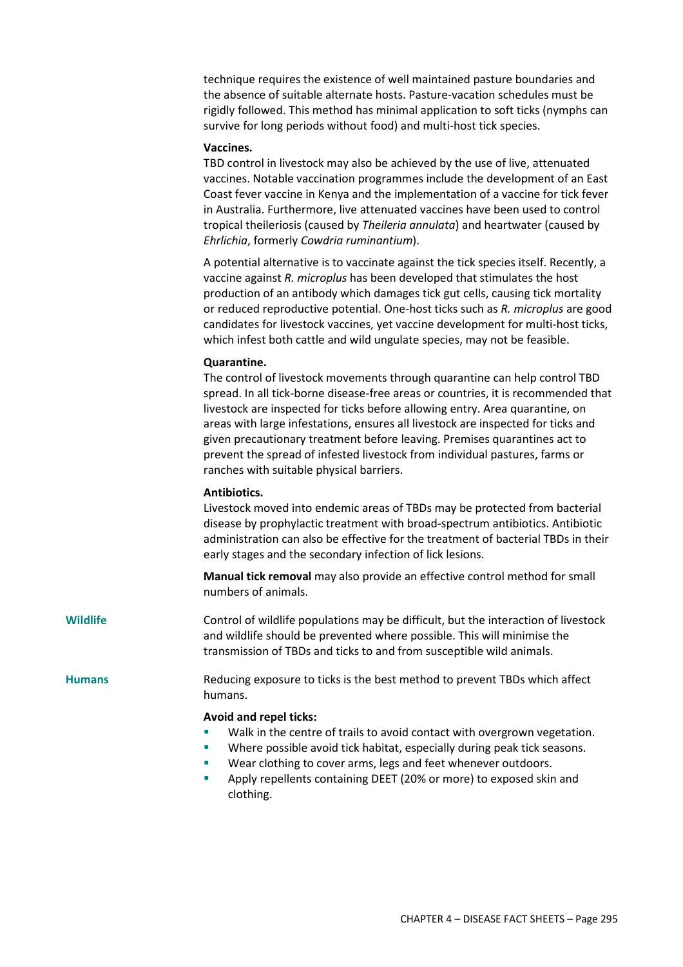technique requires the existence of well maintained pasture boundaries and the absence of suitable alternate hosts. Pasture-vacation schedules must be rigidly followed. This method has minimal application to soft ticks (nymphs can survive for long periods without food) and multi-host tick species.

#### **Vaccines.**

TBD control in livestock may also be achieved by the use of live, attenuated vaccines. Notable vaccination programmes include the development of an East Coast fever vaccine in Kenya and the implementation of a vaccine for tick fever in Australia. Furthermore, live attenuated vaccines have been used to control tropical theileriosis (caused by *Theileria annulata*) and heartwater (caused by *Ehrlichia*, formerly *Cowdria ruminantium*).

A potential alternative is to vaccinate against the tick species itself. Recently, a vaccine against *R. microplus* has been developed that stimulates the host production of an antibody which damages tick gut cells, causing tick mortality or reduced reproductive potential. One-host ticks such as *R. microplus* are good candidates for livestock vaccines, yet vaccine development for multi-host ticks, which infest both cattle and wild ungulate species, may not be feasible.

#### **Quarantine.**

The control of livestock movements through quarantine can help control TBD spread. In all tick-borne disease-free areas or countries, it is recommended that livestock are inspected for ticks before allowing entry. Area quarantine, on areas with large infestations, ensures all livestock are inspected for ticks and given precautionary treatment before leaving. Premises quarantines act to prevent the spread of infested livestock from individual pastures, farms or ranches with suitable physical barriers.

## **Antibiotics.**

Livestock moved into endemic areas of TBDs may be protected from bacterial disease by prophylactic treatment with broad-spectrum antibiotics. Antibiotic administration can also be effective for the treatment of bacterial TBDs in their early stages and the secondary infection of lick lesions.

**Manual tick removal** may also provide an effective control method for small numbers of animals.

**Wildlife** Control of wildlife populations may be difficult, but the interaction of livestock and wildlife should be prevented where possible. This will minimise the transmission of TBDs and ticks to and from susceptible wild animals.

**Humans** Reducing exposure to ticks is the best method to prevent TBDs which affect humans.

#### **Avoid and repel ticks:**

- Walk in the centre of trails to avoid contact with overgrown vegetation.
- Where possible avoid tick habitat, especially during peak tick seasons.
- Wear clothing to cover arms, legs and feet whenever outdoors.
- Apply repellents containing DEET (20% or more) to exposed skin and clothing.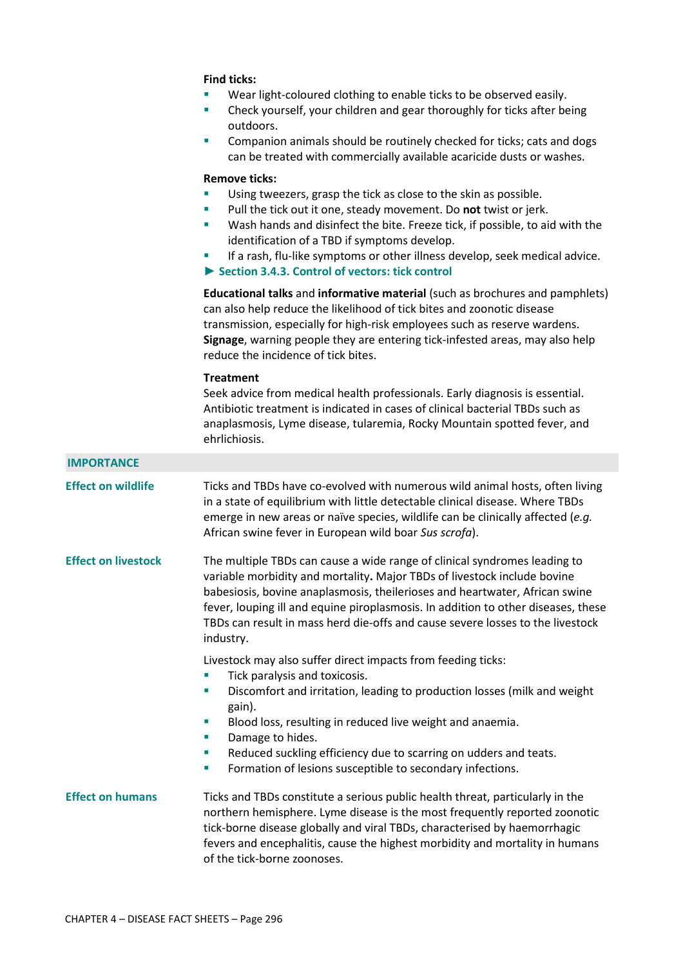### **Find ticks:**

- Wear light-coloured clothing to enable ticks to be observed easily.
- Check yourself, your children and gear thoroughly for ticks after being outdoors.
- Companion animals should be routinely checked for ticks; cats and dogs can be treated with commercially available acaricide dusts or washes.

#### **Remove ticks:**

- Using tweezers, grasp the tick as close to the skin as possible.
- Pull the tick out it one, steady movement. Do **not** twist or jerk.
- Wash hands and disinfect the bite. Freeze tick, if possible, to aid with the identification of a TBD if symptoms develop.
- If a rash, flu-like symptoms or other illness develop, seek medical advice.
- **► Section 3.4.3. Control of vectors: tick control**

**Educational talks** and **informative material** (such as brochures and pamphlets) can also help reduce the likelihood of tick bites and zoonotic disease transmission, especially for high-risk employees such as reserve wardens. **Signage**, warning people they are entering tick-infested areas, may also help reduce the incidence of tick bites.

# **Treatment**

Seek advice from medical health professionals. Early diagnosis is essential. Antibiotic treatment is indicated in cases of clinical bacterial TBDs such as anaplasmosis, Lyme disease, tularemia, Rocky Mountain spotted fever, and ehrlichiosis.

#### **IMPORTANCE**

**Effect on wildlife** Ticks and TBDs have co-evolved with numerous wild animal hosts, often living in a state of equilibrium with little detectable clinical disease. Where TBDs emerge in new areas or naïve species, wildlife can be clinically affected (*e.g.*  African swine fever in European wild boar *Sus scrofa*).

**Effect on livestock** The multiple TBDs can cause a wide range of clinical syndromes leading to variable morbidity and mortality**.** Major TBDs of livestock include bovine babesiosis, bovine anaplasmosis, theilerioses and heartwater, African swine fever, louping ill and equine piroplasmosis. In addition to other diseases, these TBDs can result in mass herd die-offs and cause severe losses to the livestock industry.

Livestock may also suffer direct impacts from feeding ticks:

- Tick paralysis and toxicosis.
- Discomfort and irritation, leading to production losses (milk and weight gain).
- Blood loss, resulting in reduced live weight and anaemia.
- Damage to hides.
- Reduced suckling efficiency due to scarring on udders and teats.
- Formation of lesions susceptible to secondary infections.

# **Effect on humans** Ticks and TBDs constitute a serious public health threat, particularly in the northern hemisphere. Lyme disease is the most frequently reported zoonotic tick-borne disease globally and viral TBDs, characterised by haemorrhagic fevers and encephalitis, cause the highest morbidity and mortality in humans of the tick-borne zoonoses.